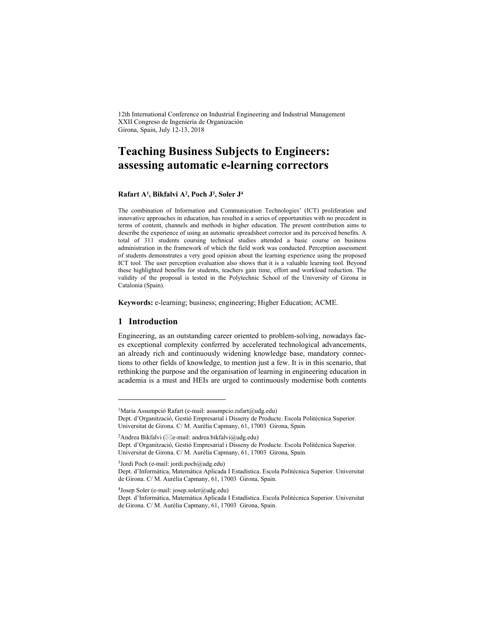12th International Conference on Industrial Engineering and Industrial Management XXII Congreso de Ingeniería de Organización Girona, Spain, July 12-13, 2018

# **Teaching Business Subjects to Engineers: assessing automatic e-learning correctors**

#### **Rafart A1 , Bikfalvi A2 , Poch J3, Soler J4**

The combination of Information and Communication Technologies' (ICT) proliferation and innovative approaches in education, has resulted in a series of opportunities with no precedent in terms of content, channels and methods in higher education. The present contribution aims to describe the experience of using an automatic spreadsheet corrector and its perceived benefits. A total of 311 students coursing technical studies attended a basic course on business administration in the framework of which the field work was conducted. Perception assessment of students demonstrates a very good opinion about the learning experience using the proposed ICT tool. The user perception evaluation also shows that it is a valuable learning tool. Beyond these highlighted benefits for students, teachers gain time, effort and workload reduction. The validity of the proposal is tested in the Polytechnic School of the University of Girona in Catalonia (Spain).

**Keywords:** e-learning; business; engineering; Higher Education; ACME.

#### **1 Introduction**

l

Engineering, as an outstanding career oriented to problem-solving, nowadays faces exceptional complexity conferred by accelerated technological advancements, an already rich and continuously widening knowledge base, mandatory connections to other fields of knowledge, to mention just a few. It is in this scenario, that rethinking the purpose and the organisation of learning in engineering education in academia is a must and HEIs are urged to continuously modernise both contents

<sup>2</sup>Andrea Bikfalvi ( $\boxtimes$ e-mail: andrea.bikfalvi@udg.edu)

4Josep Soler (e-mail: josep.soler@udg.edu)

<sup>&</sup>lt;sup>1</sup>Maria Assumpció Rafart (e-mail: assumpcio.rafart@udg.edu)

Dept. d'Organització, Gestió Empresarial i Disseny de Producte. Escola Politècnica Superior. Universitat de Girona. C/ M. Aurèlia Capmany, 61, 17003 Girona, Spain.

Dept. d'Organització, Gestió Empresarial i Disseny de Producte. Escola Politècnica Superior. Universitat de Girona. C/ M. Aurèlia Capmany, 61, 17003 Girona, Spain.

 $3$ Jordi Poch (e-mail: jordi.poch $@$ udg.edu)

Dept. d'Informàtica, Matemàtica Aplicada I Estadística. Escola Politècnica Superior. Universitat de Girona. C/ M. Aurèlia Capmany, 61, 17003 Girona, Spain.

Dept. d'Informàtica, Matemàtica Aplicada I Estadística. Escola Politècnica Superior. Universitat de Girona. C/ M. Aurèlia Capmany, 61, 17003 Girona, Spain.